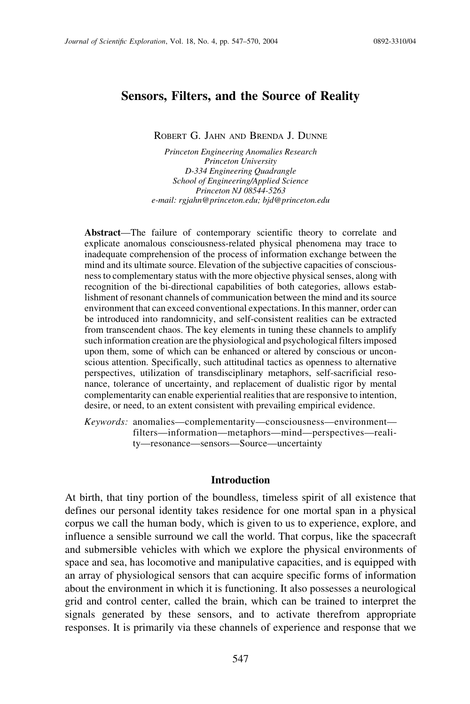# Sensors, Filters, and the Source of Reality

ROBERT G. JAHN AND BRENDA J. DUNNE

Princeton Engineering Anomalies Research Princeton University D-334 Engineering Quadrangle School of Engineering/Applied Science Princeton NJ 08544-5263 e-mail: rgjahn@princeton.edu; bjd@princeton.edu

Abstract—The failure of contemporary scientific theory to correlate and explicate anomalous consciousness-related physical phenomena may trace to inadequate comprehension of the process of information exchange between the mind and its ultimate source. Elevation of the subjective capacities of consciousness to complementary status with the more objective physical senses, along with recognition of the bi-directional capabilities of both categories, allows establishment of resonant channels of communication between the mind and its source environment that can exceed conventional expectations. In this manner, order can be introduced into randomnicity, and self-consistent realities can be extracted from transcendent chaos. The key elements in tuning these channels to amplify such information creation are the physiological and psychological filters imposed upon them, some of which can be enhanced or altered by conscious or unconscious attention. Specifically, such attitudinal tactics as openness to alternative perspectives, utilization of transdisciplinary metaphors, self-sacrificial resonance, tolerance of uncertainty, and replacement of dualistic rigor by mental complementarity can enable experiential realities that are responsive to intention, desire, or need, to an extent consistent with prevailing empirical evidence.

Keywords: anomalies—complementarity—consciousness—environment filters—information—metaphors—mind—perspectives—reality—resonance—sensors—Source—uncertainty

### Introduction

At birth, that tiny portion of the boundless, timeless spirit of all existence that defines our personal identity takes residence for one mortal span in a physical corpus we call the human body, which is given to us to experience, explore, and influence a sensible surround we call the world. That corpus, like the spacecraft and submersible vehicles with which we explore the physical environments of space and sea, has locomotive and manipulative capacities, and is equipped with an array of physiological sensors that can acquire specific forms of information about the environment in which it is functioning. It also possesses a neurological grid and control center, called the brain, which can be trained to interpret the signals generated by these sensors, and to activate therefrom appropriate responses. It is primarily via these channels of experience and response that we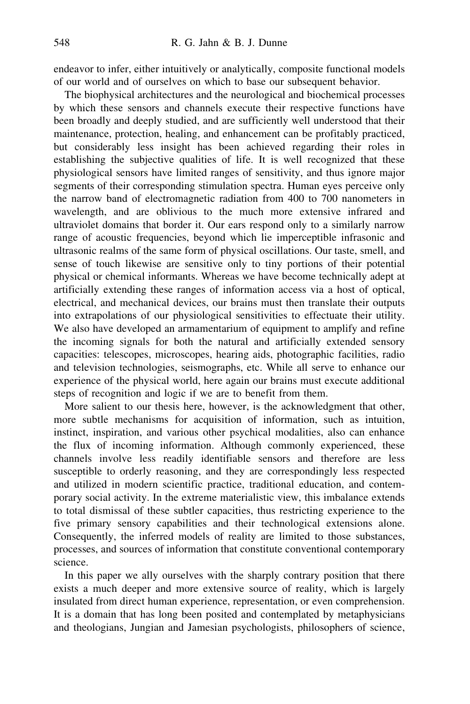endeavor to infer, either intuitively or analytically, composite functional models of our world and of ourselves on which to base our subsequent behavior.

The biophysical architectures and the neurological and biochemical processes by which these sensors and channels execute their respective functions have been broadly and deeply studied, and are sufficiently well understood that their maintenance, protection, healing, and enhancement can be profitably practiced, but considerably less insight has been achieved regarding their roles in establishing the subjective qualities of life. It is well recognized that these physiological sensors have limited ranges of sensitivity, and thus ignore major segments of their corresponding stimulation spectra. Human eyes perceive only the narrow band of electromagnetic radiation from 400 to 700 nanometers in wavelength, and are oblivious to the much more extensive infrared and ultraviolet domains that border it. Our ears respond only to a similarly narrow range of acoustic frequencies, beyond which lie imperceptible infrasonic and ultrasonic realms of the same form of physical oscillations. Our taste, smell, and sense of touch likewise are sensitive only to tiny portions of their potential physical or chemical informants. Whereas we have become technically adept at artificially extending these ranges of information access via a host of optical, electrical, and mechanical devices, our brains must then translate their outputs into extrapolations of our physiological sensitivities to effectuate their utility. We also have developed an armamentarium of equipment to amplify and refine the incoming signals for both the natural and artificially extended sensory capacities: telescopes, microscopes, hearing aids, photographic facilities, radio and television technologies, seismographs, etc. While all serve to enhance our experience of the physical world, here again our brains must execute additional steps of recognition and logic if we are to benefit from them.

More salient to our thesis here, however, is the acknowledgment that other, more subtle mechanisms for acquisition of information, such as intuition, instinct, inspiration, and various other psychical modalities, also can enhance the flux of incoming information. Although commonly experienced, these channels involve less readily identifiable sensors and therefore are less susceptible to orderly reasoning, and they are correspondingly less respected and utilized in modern scientific practice, traditional education, and contemporary social activity. In the extreme materialistic view, this imbalance extends to total dismissal of these subtler capacities, thus restricting experience to the five primary sensory capabilities and their technological extensions alone. Consequently, the inferred models of reality are limited to those substances, processes, and sources of information that constitute conventional contemporary science.

In this paper we ally ourselves with the sharply contrary position that there exists a much deeper and more extensive source of reality, which is largely insulated from direct human experience, representation, or even comprehension. It is a domain that has long been posited and contemplated by metaphysicians and theologians, Jungian and Jamesian psychologists, philosophers of science,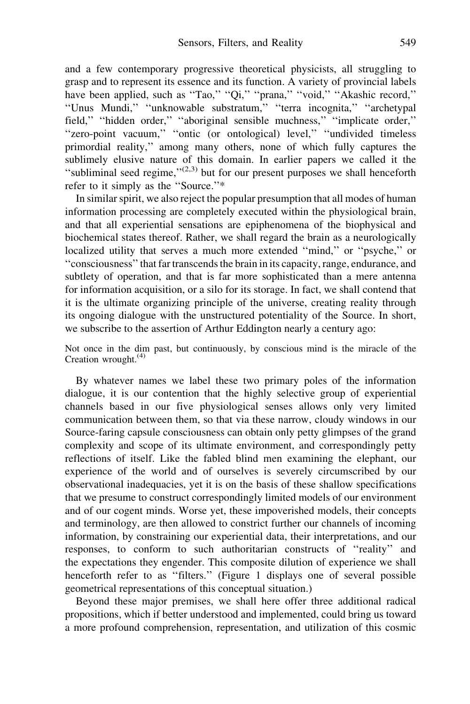and a few contemporary progressive theoretical physicists, all struggling to grasp and to represent its essence and its function. A variety of provincial labels have been applied, such as "Tao," "Qi," "prana," "void," "Akashic record," ''Unus Mundi,'' ''unknowable substratum,'' ''terra incognita,'' ''archetypal field,'' ''hidden order,'' ''aboriginal sensible muchness,'' ''implicate order,'' ''zero-point vacuum,'' ''ontic (or ontological) level,'' ''undivided timeless primordial reality,'' among many others, none of which fully captures the sublimely elusive nature of this domain. In earlier papers we called it the "subliminal seed regime," $(2,3)$  but for our present purposes we shall henceforth refer to it simply as the ''Source.''\*

In similar spirit, we also reject the popular presumption that all modes of human information processing are completely executed within the physiological brain, and that all experiential sensations are epiphenomena of the biophysical and biochemical states thereof. Rather, we shall regard the brain as a neurologically localized utility that serves a much more extended ''mind,'' or ''psyche,'' or ''consciousness'' that far transcends the brain in its capacity, range, endurance, and subtlety of operation, and that is far more sophisticated than a mere antenna for information acquisition, or a silo for its storage. In fact, we shall contend that it is the ultimate organizing principle of the universe, creating reality through its ongoing dialogue with the unstructured potentiality of the Source. In short, we subscribe to the assertion of Arthur Eddington nearly a century ago:

Not once in the dim past, but continuously, by conscious mind is the miracle of the Creation wrought.<sup>(4)</sup>

By whatever names we label these two primary poles of the information dialogue, it is our contention that the highly selective group of experiential channels based in our five physiological senses allows only very limited communication between them, so that via these narrow, cloudy windows in our Source-faring capsule consciousness can obtain only petty glimpses of the grand complexity and scope of its ultimate environment, and correspondingly petty reflections of itself. Like the fabled blind men examining the elephant, our experience of the world and of ourselves is severely circumscribed by our observational inadequacies, yet it is on the basis of these shallow specifications that we presume to construct correspondingly limited models of our environment and of our cogent minds. Worse yet, these impoverished models, their concepts and terminology, are then allowed to constrict further our channels of incoming information, by constraining our experiential data, their interpretations, and our responses, to conform to such authoritarian constructs of ''reality'' and the expectations they engender. This composite dilution of experience we shall henceforth refer to as "filters." (Figure 1 displays one of several possible geometrical representations of this conceptual situation.)

Beyond these major premises, we shall here offer three additional radical propositions, which if better understood and implemented, could bring us toward a more profound comprehension, representation, and utilization of this cosmic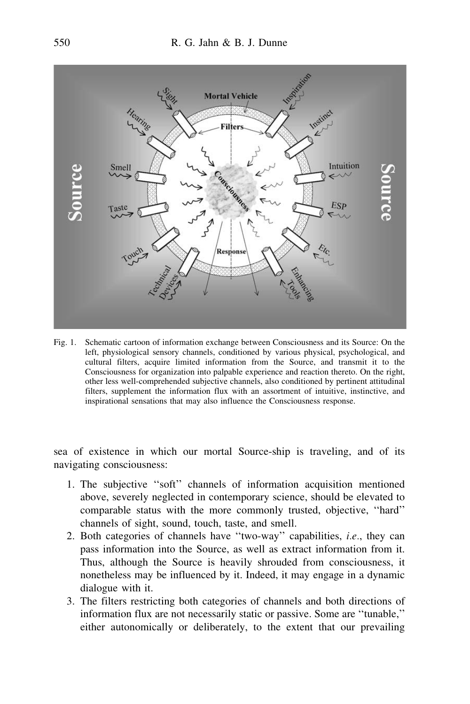

Fig. 1. Schematic cartoon of information exchange between Consciousness and its Source: On the left, physiological sensory channels, conditioned by various physical, psychological, and cultural filters, acquire limited information from the Source, and transmit it to the Consciousness for organization into palpable experience and reaction thereto. On the right, other less well-comprehended subjective channels, also conditioned by pertinent attitudinal filters, supplement the information flux with an assortment of intuitive, instinctive, and inspirational sensations that may also influence the Consciousness response.

sea of existence in which our mortal Source-ship is traveling, and of its navigating consciousness:

- 1. The subjective ''soft'' channels of information acquisition mentioned above, severely neglected in contemporary science, should be elevated to comparable status with the more commonly trusted, objective, ''hard'' channels of sight, sound, touch, taste, and smell.
- 2. Both categories of channels have ''two-way'' capabilities, i.e., they can pass information into the Source, as well as extract information from it. Thus, although the Source is heavily shrouded from consciousness, it nonetheless may be influenced by it. Indeed, it may engage in a dynamic dialogue with it.
- 3. The filters restricting both categories of channels and both directions of information flux are not necessarily static or passive. Some are ''tunable,'' either autonomically or deliberately, to the extent that our prevailing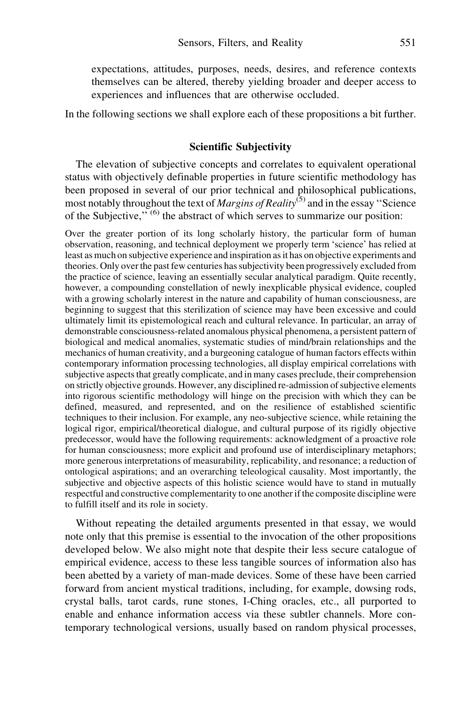expectations, attitudes, purposes, needs, desires, and reference contexts themselves can be altered, thereby yielding broader and deeper access to experiences and influences that are otherwise occluded.

In the following sections we shall explore each of these propositions a bit further.

## Scientific Subjectivity

The elevation of subjective concepts and correlates to equivalent operational status with objectively definable properties in future scientific methodology has been proposed in several of our prior technical and philosophical publications, most notably throughout the text of *Margins of Reality*<sup>(5)</sup> and in the essay "Science" of the Subjective, $\mathcal{L}^{(6)}$  the abstract of which serves to summarize our position:

Over the greater portion of its long scholarly history, the particular form of human observation, reasoning, and technical deployment we properly term 'science' has relied at least as much on subjective experience and inspiration as it has on objective experiments and theories. Only over the past few centuries has subjectivity been progressively excluded from the practice of science, leaving an essentially secular analytical paradigm. Quite recently, however, a compounding constellation of newly inexplicable physical evidence, coupled with a growing scholarly interest in the nature and capability of human consciousness, are beginning to suggest that this sterilization of science may have been excessive and could ultimately limit its epistemological reach and cultural relevance. In particular, an array of demonstrable consciousness-related anomalous physical phenomena, a persistent pattern of biological and medical anomalies, systematic studies of mind/brain relationships and the mechanics of human creativity, and a burgeoning catalogue of human factors effects within contemporary information processing technologies, all display empirical correlations with subjective aspects that greatly complicate, and in many cases preclude, their comprehension on strictly objective grounds. However, any disciplined re-admission of subjective elements into rigorous scientific methodology will hinge on the precision with which they can be defined, measured, and represented, and on the resilience of established scientific techniques to their inclusion. For example, any neo-subjective science, while retaining the logical rigor, empirical/theoretical dialogue, and cultural purpose of its rigidly objective predecessor, would have the following requirements: acknowledgment of a proactive role for human consciousness; more explicit and profound use of interdisciplinary metaphors; more generous interpretations of measurability, replicability, and resonance; a reduction of ontological aspirations; and an overarching teleological causality. Most importantly, the subjective and objective aspects of this holistic science would have to stand in mutually respectful and constructive complementarity to one another if the composite discipline were to fulfill itself and its role in society.

Without repeating the detailed arguments presented in that essay, we would note only that this premise is essential to the invocation of the other propositions developed below. We also might note that despite their less secure catalogue of empirical evidence, access to these less tangible sources of information also has been abetted by a variety of man-made devices. Some of these have been carried forward from ancient mystical traditions, including, for example, dowsing rods, crystal balls, tarot cards, rune stones, I-Ching oracles, etc., all purported to enable and enhance information access via these subtler channels. More contemporary technological versions, usually based on random physical processes,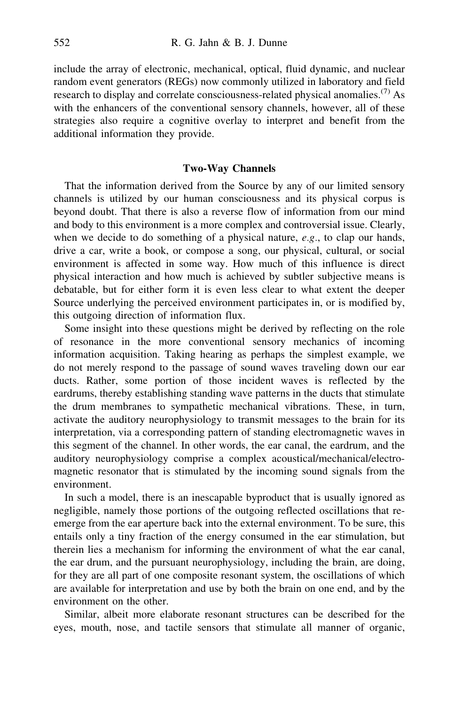include the array of electronic, mechanical, optical, fluid dynamic, and nuclear random event generators (REGs) now commonly utilized in laboratory and field research to display and correlate consciousness-related physical anomalies.<sup> $(7)$ </sup> As with the enhancers of the conventional sensory channels, however, all of these strategies also require a cognitive overlay to interpret and benefit from the additional information they provide.

#### Two-Way Channels

That the information derived from the Source by any of our limited sensory channels is utilized by our human consciousness and its physical corpus is beyond doubt. That there is also a reverse flow of information from our mind and body to this environment is a more complex and controversial issue. Clearly, when we decide to do something of a physical nature,  $e.g.,$  to clap our hands, drive a car, write a book, or compose a song, our physical, cultural, or social environment is affected in some way. How much of this influence is direct physical interaction and how much is achieved by subtler subjective means is debatable, but for either form it is even less clear to what extent the deeper Source underlying the perceived environment participates in, or is modified by, this outgoing direction of information flux.

Some insight into these questions might be derived by reflecting on the role of resonance in the more conventional sensory mechanics of incoming information acquisition. Taking hearing as perhaps the simplest example, we do not merely respond to the passage of sound waves traveling down our ear ducts. Rather, some portion of those incident waves is reflected by the eardrums, thereby establishing standing wave patterns in the ducts that stimulate the drum membranes to sympathetic mechanical vibrations. These, in turn, activate the auditory neurophysiology to transmit messages to the brain for its interpretation, via a corresponding pattern of standing electromagnetic waves in this segment of the channel. In other words, the ear canal, the eardrum, and the auditory neurophysiology comprise a complex acoustical/mechanical/electromagnetic resonator that is stimulated by the incoming sound signals from the environment.

In such a model, there is an inescapable byproduct that is usually ignored as negligible, namely those portions of the outgoing reflected oscillations that reemerge from the ear aperture back into the external environment. To be sure, this entails only a tiny fraction of the energy consumed in the ear stimulation, but therein lies a mechanism for informing the environment of what the ear canal, the ear drum, and the pursuant neurophysiology, including the brain, are doing, for they are all part of one composite resonant system, the oscillations of which are available for interpretation and use by both the brain on one end, and by the environment on the other.

Similar, albeit more elaborate resonant structures can be described for the eyes, mouth, nose, and tactile sensors that stimulate all manner of organic,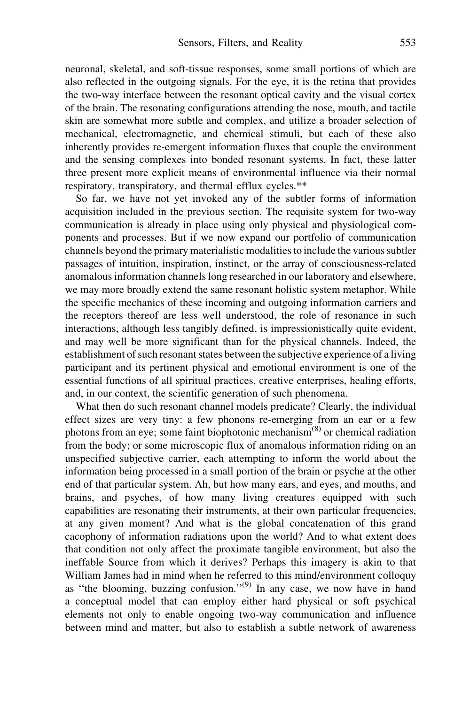neuronal, skeletal, and soft-tissue responses, some small portions of which are also reflected in the outgoing signals. For the eye, it is the retina that provides the two-way interface between the resonant optical cavity and the visual cortex of the brain. The resonating configurations attending the nose, mouth, and tactile skin are somewhat more subtle and complex, and utilize a broader selection of mechanical, electromagnetic, and chemical stimuli, but each of these also inherently provides re-emergent information fluxes that couple the environment and the sensing complexes into bonded resonant systems. In fact, these latter three present more explicit means of environmental influence via their normal respiratory, transpiratory, and thermal efflux cycles.\*\*

So far, we have not yet invoked any of the subtler forms of information acquisition included in the previous section. The requisite system for two-way communication is already in place using only physical and physiological components and processes. But if we now expand our portfolio of communication channels beyond the primary materialistic modalities to include the various subtler passages of intuition, inspiration, instinct, or the array of consciousness-related anomalous information channels long researched in our laboratory and elsewhere, we may more broadly extend the same resonant holistic system metaphor. While the specific mechanics of these incoming and outgoing information carriers and the receptors thereof are less well understood, the role of resonance in such interactions, although less tangibly defined, is impressionistically quite evident, and may well be more significant than for the physical channels. Indeed, the establishment of such resonant states between the subjective experience of a living participant and its pertinent physical and emotional environment is one of the essential functions of all spiritual practices, creative enterprises, healing efforts, and, in our context, the scientific generation of such phenomena.

What then do such resonant channel models predicate? Clearly, the individual effect sizes are very tiny: a few phonons re-emerging from an ear or a few photons from an eye; some faint biophotonic mechanism $(8)$  or chemical radiation from the body; or some microscopic flux of anomalous information riding on an unspecified subjective carrier, each attempting to inform the world about the information being processed in a small portion of the brain or psyche at the other end of that particular system. Ah, but how many ears, and eyes, and mouths, and brains, and psyches, of how many living creatures equipped with such capabilities are resonating their instruments, at their own particular frequencies, at any given moment? And what is the global concatenation of this grand cacophony of information radiations upon the world? And to what extent does that condition not only affect the proximate tangible environment, but also the ineffable Source from which it derives? Perhaps this imagery is akin to that William James had in mind when he referred to this mind/environment colloquy as "the blooming, buzzing confusion."<sup>(9)</sup> In any case, we now have in hand a conceptual model that can employ either hard physical or soft psychical elements not only to enable ongoing two-way communication and influence between mind and matter, but also to establish a subtle network of awareness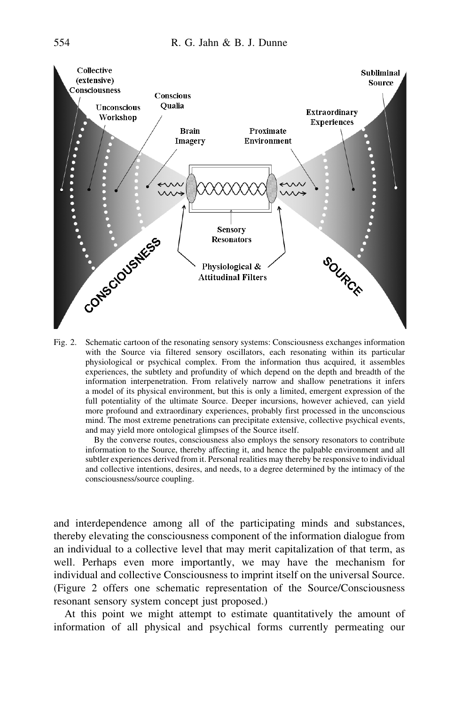

Fig. 2. Schematic cartoon of the resonating sensory systems: Consciousness exchanges information with the Source via filtered sensory oscillators, each resonating within its particular physiological or psychical complex. From the information thus acquired, it assembles experiences, the subtlety and profundity of which depend on the depth and breadth of the information interpenetration. From relatively narrow and shallow penetrations it infers a model of its physical environment, but this is only a limited, emergent expression of the full potentiality of the ultimate Source. Deeper incursions, however achieved, can yield more profound and extraordinary experiences, probably first processed in the unconscious mind. The most extreme penetrations can precipitate extensive, collective psychical events, and may yield more ontological glimpses of the Source itself.

By the converse routes, consciousness also employs the sensory resonators to contribute information to the Source, thereby affecting it, and hence the palpable environment and all subtler experiences derived from it. Personal realities may thereby be responsive to individual and collective intentions, desires, and needs, to a degree determined by the intimacy of the consciousness/source coupling.

and interdependence among all of the participating minds and substances, thereby elevating the consciousness component of the information dialogue from an individual to a collective level that may merit capitalization of that term, as well. Perhaps even more importantly, we may have the mechanism for individual and collective Consciousness to imprint itself on the universal Source. (Figure 2 offers one schematic representation of the Source/Consciousness resonant sensory system concept just proposed.)

At this point we might attempt to estimate quantitatively the amount of information of all physical and psychical forms currently permeating our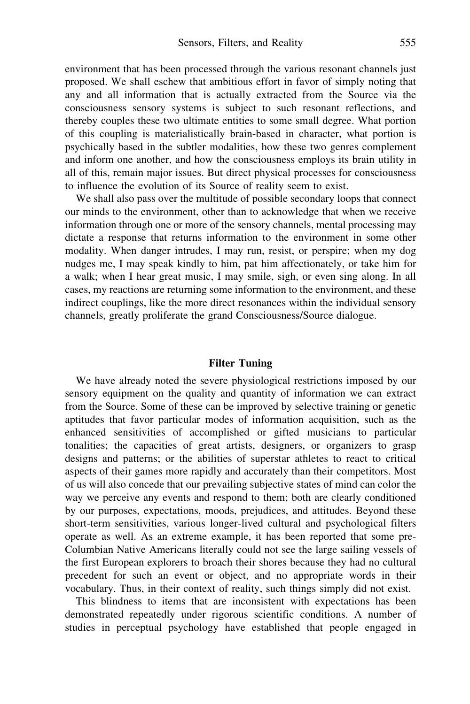environment that has been processed through the various resonant channels just proposed. We shall eschew that ambitious effort in favor of simply noting that any and all information that is actually extracted from the Source via the consciousness sensory systems is subject to such resonant reflections, and thereby couples these two ultimate entities to some small degree. What portion of this coupling is materialistically brain-based in character, what portion is psychically based in the subtler modalities, how these two genres complement and inform one another, and how the consciousness employs its brain utility in all of this, remain major issues. But direct physical processes for consciousness to influence the evolution of its Source of reality seem to exist.

We shall also pass over the multitude of possible secondary loops that connect our minds to the environment, other than to acknowledge that when we receive information through one or more of the sensory channels, mental processing may dictate a response that returns information to the environment in some other modality. When danger intrudes, I may run, resist, or perspire; when my dog nudges me, I may speak kindly to him, pat him affectionately, or take him for a walk; when I hear great music, I may smile, sigh, or even sing along. In all cases, my reactions are returning some information to the environment, and these indirect couplings, like the more direct resonances within the individual sensory channels, greatly proliferate the grand Consciousness/Source dialogue.

### Filter Tuning

We have already noted the severe physiological restrictions imposed by our sensory equipment on the quality and quantity of information we can extract from the Source. Some of these can be improved by selective training or genetic aptitudes that favor particular modes of information acquisition, such as the enhanced sensitivities of accomplished or gifted musicians to particular tonalities; the capacities of great artists, designers, or organizers to grasp designs and patterns; or the abilities of superstar athletes to react to critical aspects of their games more rapidly and accurately than their competitors. Most of us will also concede that our prevailing subjective states of mind can color the way we perceive any events and respond to them; both are clearly conditioned by our purposes, expectations, moods, prejudices, and attitudes. Beyond these short-term sensitivities, various longer-lived cultural and psychological filters operate as well. As an extreme example, it has been reported that some pre-Columbian Native Americans literally could not see the large sailing vessels of the first European explorers to broach their shores because they had no cultural precedent for such an event or object, and no appropriate words in their vocabulary. Thus, in their context of reality, such things simply did not exist.

This blindness to items that are inconsistent with expectations has been demonstrated repeatedly under rigorous scientific conditions. A number of studies in perceptual psychology have established that people engaged in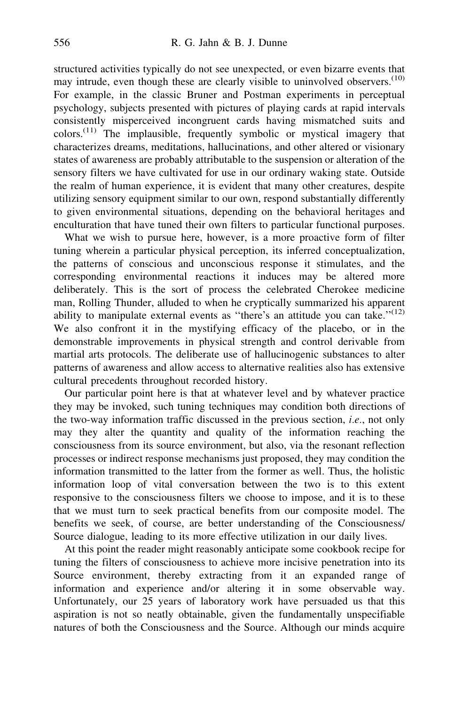structured activities typically do not see unexpected, or even bizarre events that may intrude, even though these are clearly visible to uninvolved observers.<sup> $(10)$ </sup> For example, in the classic Bruner and Postman experiments in perceptual psychology, subjects presented with pictures of playing cards at rapid intervals consistently misperceived incongruent cards having mismatched suits and  $colors<sup>(11)</sup>$  The implausible, frequently symbolic or mystical imagery that characterizes dreams, meditations, hallucinations, and other altered or visionary states of awareness are probably attributable to the suspension or alteration of the sensory filters we have cultivated for use in our ordinary waking state. Outside the realm of human experience, it is evident that many other creatures, despite utilizing sensory equipment similar to our own, respond substantially differently to given environmental situations, depending on the behavioral heritages and enculturation that have tuned their own filters to particular functional purposes.

What we wish to pursue here, however, is a more proactive form of filter tuning wherein a particular physical perception, its inferred conceptualization, the patterns of conscious and unconscious response it stimulates, and the corresponding environmental reactions it induces may be altered more deliberately. This is the sort of process the celebrated Cherokee medicine man, Rolling Thunder, alluded to when he cryptically summarized his apparent ability to manipulate external events as "there's an attitude you can take." $(12)$ We also confront it in the mystifying efficacy of the placebo, or in the demonstrable improvements in physical strength and control derivable from martial arts protocols. The deliberate use of hallucinogenic substances to alter patterns of awareness and allow access to alternative realities also has extensive cultural precedents throughout recorded history.

Our particular point here is that at whatever level and by whatever practice they may be invoked, such tuning techniques may condition both directions of the two-way information traffic discussed in the previous section, i.e., not only may they alter the quantity and quality of the information reaching the consciousness from its source environment, but also, via the resonant reflection processes or indirect response mechanisms just proposed, they may condition the information transmitted to the latter from the former as well. Thus, the holistic information loop of vital conversation between the two is to this extent responsive to the consciousness filters we choose to impose, and it is to these that we must turn to seek practical benefits from our composite model. The benefits we seek, of course, are better understanding of the Consciousness/ Source dialogue, leading to its more effective utilization in our daily lives.

At this point the reader might reasonably anticipate some cookbook recipe for tuning the filters of consciousness to achieve more incisive penetration into its Source environment, thereby extracting from it an expanded range of information and experience and/or altering it in some observable way. Unfortunately, our 25 years of laboratory work have persuaded us that this aspiration is not so neatly obtainable, given the fundamentally unspecifiable natures of both the Consciousness and the Source. Although our minds acquire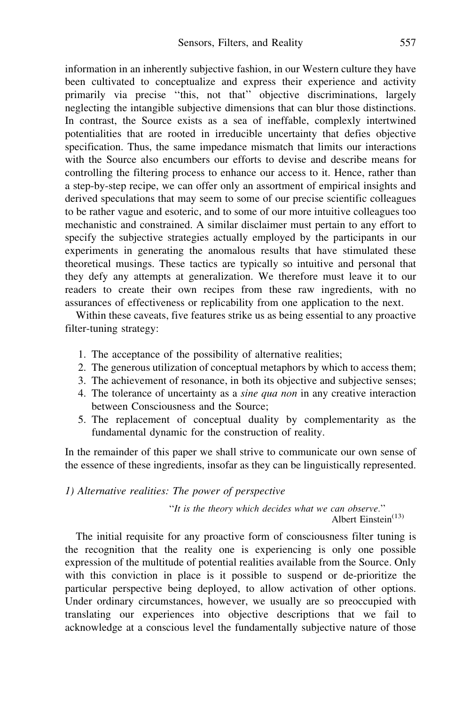information in an inherently subjective fashion, in our Western culture they have been cultivated to conceptualize and express their experience and activity primarily via precise ''this, not that'' objective discriminations, largely neglecting the intangible subjective dimensions that can blur those distinctions. In contrast, the Source exists as a sea of ineffable, complexly intertwined potentialities that are rooted in irreducible uncertainty that defies objective specification. Thus, the same impedance mismatch that limits our interactions with the Source also encumbers our efforts to devise and describe means for controlling the filtering process to enhance our access to it. Hence, rather than a step-by-step recipe, we can offer only an assortment of empirical insights and derived speculations that may seem to some of our precise scientific colleagues to be rather vague and esoteric, and to some of our more intuitive colleagues too mechanistic and constrained. A similar disclaimer must pertain to any effort to specify the subjective strategies actually employed by the participants in our experiments in generating the anomalous results that have stimulated these theoretical musings. These tactics are typically so intuitive and personal that they defy any attempts at generalization. We therefore must leave it to our readers to create their own recipes from these raw ingredients, with no assurances of effectiveness or replicability from one application to the next.

Within these caveats, five features strike us as being essential to any proactive filter-tuning strategy:

- 1. The acceptance of the possibility of alternative realities;
- 2. The generous utilization of conceptual metaphors by which to access them;
- 3. The achievement of resonance, in both its objective and subjective senses;
- 4. The tolerance of uncertainty as a sine qua non in any creative interaction between Consciousness and the Source;
- 5. The replacement of conceptual duality by complementarity as the fundamental dynamic for the construction of reality.

In the remainder of this paper we shall strive to communicate our own sense of the essence of these ingredients, insofar as they can be linguistically represented.

### 1) Alternative realities: The power of perspective

''It is the theory which decides what we can observe.'' Albert Einstein<sup>(13)</sup>

The initial requisite for any proactive form of consciousness filter tuning is the recognition that the reality one is experiencing is only one possible expression of the multitude of potential realities available from the Source. Only with this conviction in place is it possible to suspend or de-prioritize the particular perspective being deployed, to allow activation of other options. Under ordinary circumstances, however, we usually are so preoccupied with translating our experiences into objective descriptions that we fail to acknowledge at a conscious level the fundamentally subjective nature of those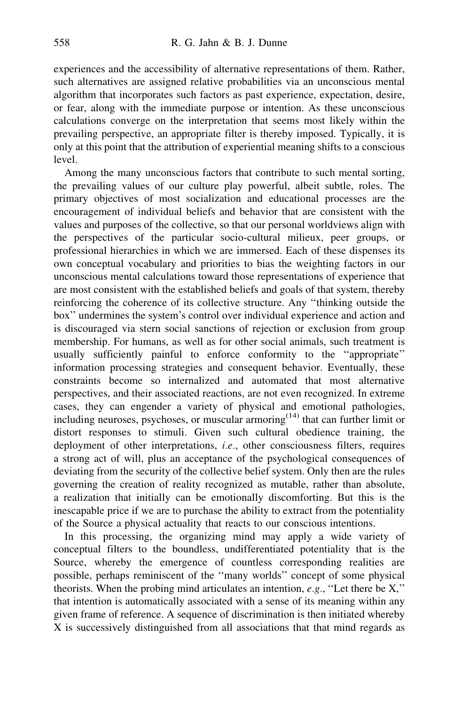experiences and the accessibility of alternative representations of them. Rather, such alternatives are assigned relative probabilities via an unconscious mental algorithm that incorporates such factors as past experience, expectation, desire, or fear, along with the immediate purpose or intention. As these unconscious calculations converge on the interpretation that seems most likely within the prevailing perspective, an appropriate filter is thereby imposed. Typically, it is only at this point that the attribution of experiential meaning shifts to a conscious level.

Among the many unconscious factors that contribute to such mental sorting, the prevailing values of our culture play powerful, albeit subtle, roles. The primary objectives of most socialization and educational processes are the encouragement of individual beliefs and behavior that are consistent with the values and purposes of the collective, so that our personal worldviews align with the perspectives of the particular socio-cultural milieux, peer groups, or professional hierarchies in which we are immersed. Each of these dispenses its own conceptual vocabulary and priorities to bias the weighting factors in our unconscious mental calculations toward those representations of experience that are most consistent with the established beliefs and goals of that system, thereby reinforcing the coherence of its collective structure. Any ''thinking outside the box'' undermines the system's control over individual experience and action and is discouraged via stern social sanctions of rejection or exclusion from group membership. For humans, as well as for other social animals, such treatment is usually sufficiently painful to enforce conformity to the ''appropriate'' information processing strategies and consequent behavior. Eventually, these constraints become so internalized and automated that most alternative perspectives, and their associated reactions, are not even recognized. In extreme cases, they can engender a variety of physical and emotional pathologies, including neuroses, psychoses, or muscular armoring<sup> $(14)$ </sup> that can further limit or distort responses to stimuli. Given such cultural obedience training, the deployment of other interpretations, *i.e.*, other consciousness filters, requires a strong act of will, plus an acceptance of the psychological consequences of deviating from the security of the collective belief system. Only then are the rules governing the creation of reality recognized as mutable, rather than absolute, a realization that initially can be emotionally discomforting. But this is the inescapable price if we are to purchase the ability to extract from the potentiality of the Source a physical actuality that reacts to our conscious intentions.

In this processing, the organizing mind may apply a wide variety of conceptual filters to the boundless, undifferentiated potentiality that is the Source, whereby the emergence of countless corresponding realities are possible, perhaps reminiscent of the ''many worlds'' concept of some physical theorists. When the probing mind articulates an intention,  $e.g.,$  "Let there be X," that intention is automatically associated with a sense of its meaning within any given frame of reference. A sequence of discrimination is then initiated whereby X is successively distinguished from all associations that that mind regards as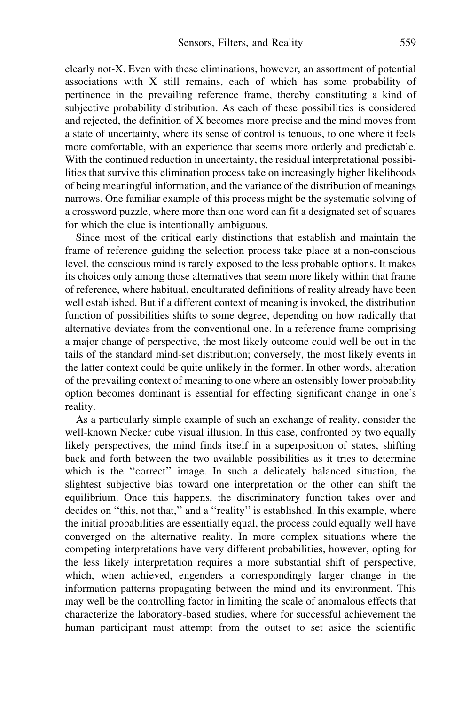clearly not-X. Even with these eliminations, however, an assortment of potential associations with X still remains, each of which has some probability of pertinence in the prevailing reference frame, thereby constituting a kind of subjective probability distribution. As each of these possibilities is considered and rejected, the definition of X becomes more precise and the mind moves from a state of uncertainty, where its sense of control is tenuous, to one where it feels more comfortable, with an experience that seems more orderly and predictable. With the continued reduction in uncertainty, the residual interpretational possibilities that survive this elimination process take on increasingly higher likelihoods of being meaningful information, and the variance of the distribution of meanings narrows. One familiar example of this process might be the systematic solving of a crossword puzzle, where more than one word can fit a designated set of squares for which the clue is intentionally ambiguous.

Since most of the critical early distinctions that establish and maintain the frame of reference guiding the selection process take place at a non-conscious level, the conscious mind is rarely exposed to the less probable options. It makes its choices only among those alternatives that seem more likely within that frame of reference, where habitual, enculturated definitions of reality already have been well established. But if a different context of meaning is invoked, the distribution function of possibilities shifts to some degree, depending on how radically that alternative deviates from the conventional one. In a reference frame comprising a major change of perspective, the most likely outcome could well be out in the tails of the standard mind-set distribution; conversely, the most likely events in the latter context could be quite unlikely in the former. In other words, alteration of the prevailing context of meaning to one where an ostensibly lower probability option becomes dominant is essential for effecting significant change in one's reality.

As a particularly simple example of such an exchange of reality, consider the well-known Necker cube visual illusion. In this case, confronted by two equally likely perspectives, the mind finds itself in a superposition of states, shifting back and forth between the two available possibilities as it tries to determine which is the "correct" image. In such a delicately balanced situation, the slightest subjective bias toward one interpretation or the other can shift the equilibrium. Once this happens, the discriminatory function takes over and decides on ''this, not that,'' and a ''reality'' is established. In this example, where the initial probabilities are essentially equal, the process could equally well have converged on the alternative reality. In more complex situations where the competing interpretations have very different probabilities, however, opting for the less likely interpretation requires a more substantial shift of perspective, which, when achieved, engenders a correspondingly larger change in the information patterns propagating between the mind and its environment. This may well be the controlling factor in limiting the scale of anomalous effects that characterize the laboratory-based studies, where for successful achievement the human participant must attempt from the outset to set aside the scientific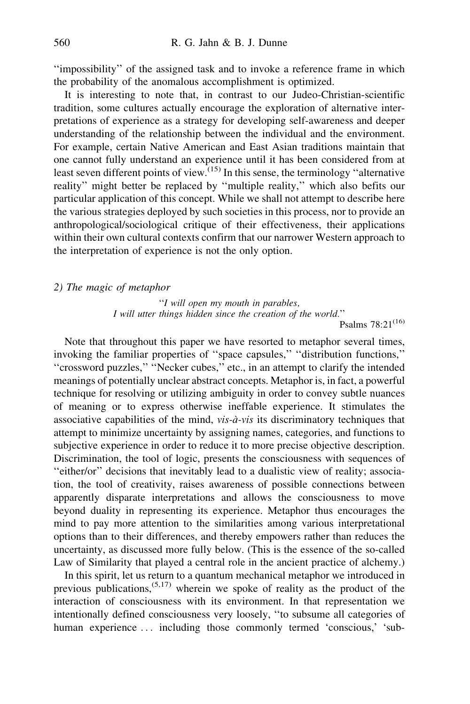''impossibility'' of the assigned task and to invoke a reference frame in which the probability of the anomalous accomplishment is optimized.

It is interesting to note that, in contrast to our Judeo-Christian-scientific tradition, some cultures actually encourage the exploration of alternative interpretations of experience as a strategy for developing self-awareness and deeper understanding of the relationship between the individual and the environment. For example, certain Native American and East Asian traditions maintain that one cannot fully understand an experience until it has been considered from at least seven different points of view.<sup> $(15)$ </sup> In this sense, the terminology "alternative reality'' might better be replaced by ''multiple reality,'' which also befits our particular application of this concept. While we shall not attempt to describe here the various strategies deployed by such societies in this process, nor to provide an anthropological/sociological critique of their effectiveness, their applications within their own cultural contexts confirm that our narrower Western approach to the interpretation of experience is not the only option.

## 2) The magic of metaphor

''I will open my mouth in parables, I will utter things hidden since the creation of the world.''

Psalms 78:21<sup>(16)</sup>

Note that throughout this paper we have resorted to metaphor several times, invoking the familiar properties of ''space capsules,'' ''distribution functions,'' ''crossword puzzles,'' ''Necker cubes,'' etc., in an attempt to clarify the intended meanings of potentially unclear abstract concepts. Metaphor is, in fact, a powerful technique for resolving or utilizing ambiguity in order to convey subtle nuances of meaning or to express otherwise ineffable experience. It stimulates the associative capabilities of the mind,  $vis-\hat{a}-vis$  its discriminatory techniques that attempt to minimize uncertainty by assigning names, categories, and functions to subjective experience in order to reduce it to more precise objective description. Discrimination, the tool of logic, presents the consciousness with sequences of ''either/or'' decisions that inevitably lead to a dualistic view of reality; association, the tool of creativity, raises awareness of possible connections between apparently disparate interpretations and allows the consciousness to move beyond duality in representing its experience. Metaphor thus encourages the mind to pay more attention to the similarities among various interpretational options than to their differences, and thereby empowers rather than reduces the uncertainty, as discussed more fully below. (This is the essence of the so-called Law of Similarity that played a central role in the ancient practice of alchemy.)

In this spirit, let us return to a quantum mechanical metaphor we introduced in previous publications,  $(5,17)$  wherein we spoke of reality as the product of the interaction of consciousness with its environment. In that representation we intentionally defined consciousness very loosely, ''to subsume all categories of human experience ... including those commonly termed 'conscious,' 'sub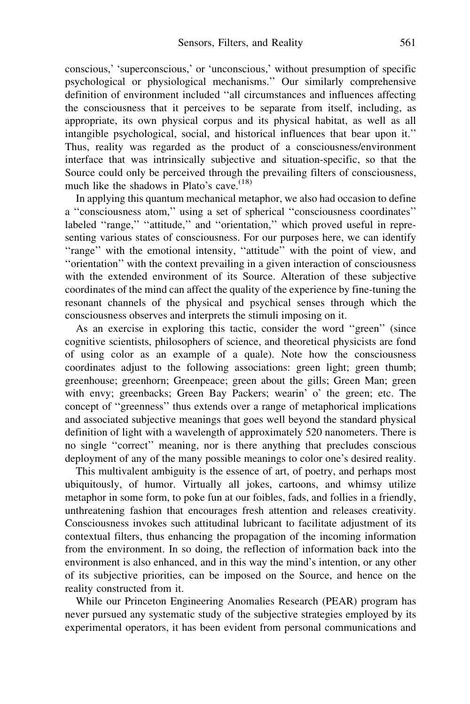conscious,' 'superconscious,' or 'unconscious,' without presumption of specific psychological or physiological mechanisms.'' Our similarly comprehensive definition of environment included ''all circumstances and influences affecting the consciousness that it perceives to be separate from itself, including, as appropriate, its own physical corpus and its physical habitat, as well as all intangible psychological, social, and historical influences that bear upon it.'' Thus, reality was regarded as the product of a consciousness/environment interface that was intrinsically subjective and situation-specific, so that the Source could only be perceived through the prevailing filters of consciousness, much like the shadows in Plato's cave. $(18)$ 

In applying this quantum mechanical metaphor, we also had occasion to define a ''consciousness atom,'' using a set of spherical ''consciousness coordinates'' labeled "range," "attitude," and "orientation," which proved useful in representing various states of consciousness. For our purposes here, we can identify "range" with the emotional intensity, "attitude" with the point of view, and ''orientation'' with the context prevailing in a given interaction of consciousness with the extended environment of its Source. Alteration of these subjective coordinates of the mind can affect the quality of the experience by fine-tuning the resonant channels of the physical and psychical senses through which the consciousness observes and interprets the stimuli imposing on it.

As an exercise in exploring this tactic, consider the word ''green'' (since cognitive scientists, philosophers of science, and theoretical physicists are fond of using color as an example of a quale). Note how the consciousness coordinates adjust to the following associations: green light; green thumb; greenhouse; greenhorn; Greenpeace; green about the gills; Green Man; green with envy; greenbacks; Green Bay Packers; wearin' o' the green; etc. The concept of ''greenness'' thus extends over a range of metaphorical implications and associated subjective meanings that goes well beyond the standard physical definition of light with a wavelength of approximately 520 nanometers. There is no single ''correct'' meaning, nor is there anything that precludes conscious deployment of any of the many possible meanings to color one's desired reality.

This multivalent ambiguity is the essence of art, of poetry, and perhaps most ubiquitously, of humor. Virtually all jokes, cartoons, and whimsy utilize metaphor in some form, to poke fun at our foibles, fads, and follies in a friendly, unthreatening fashion that encourages fresh attention and releases creativity. Consciousness invokes such attitudinal lubricant to facilitate adjustment of its contextual filters, thus enhancing the propagation of the incoming information from the environment. In so doing, the reflection of information back into the environment is also enhanced, and in this way the mind's intention, or any other of its subjective priorities, can be imposed on the Source, and hence on the reality constructed from it.

While our Princeton Engineering Anomalies Research (PEAR) program has never pursued any systematic study of the subjective strategies employed by its experimental operators, it has been evident from personal communications and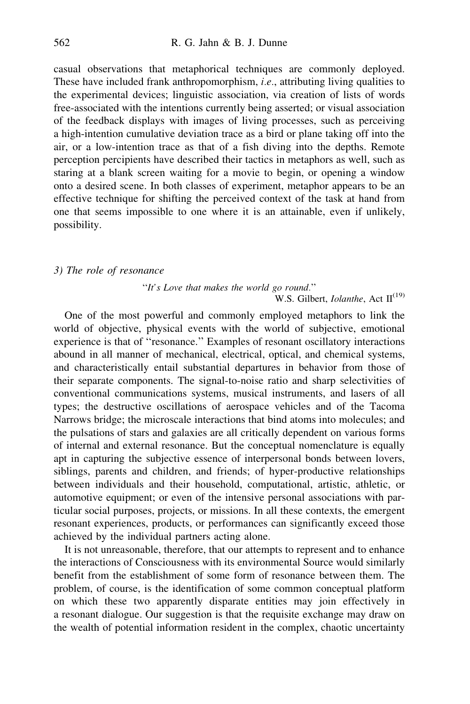casual observations that metaphorical techniques are commonly deployed. These have included frank anthropomorphism, i.e., attributing living qualities to the experimental devices; linguistic association, via creation of lists of words free-associated with the intentions currently being asserted; or visual association of the feedback displays with images of living processes, such as perceiving a high-intention cumulative deviation trace as a bird or plane taking off into the air, or a low-intention trace as that of a fish diving into the depths. Remote perception percipients have described their tactics in metaphors as well, such as staring at a blank screen waiting for a movie to begin, or opening a window onto a desired scene. In both classes of experiment, metaphor appears to be an effective technique for shifting the perceived context of the task at hand from one that seems impossible to one where it is an attainable, even if unlikely, possibility.

#### 3) The role of resonance

''It's Love that makes the world go round.'' W.S. Gilbert, *Iolanthe*, Act  $II^{(19)}$ 

One of the most powerful and commonly employed metaphors to link the world of objective, physical events with the world of subjective, emotional experience is that of ''resonance.'' Examples of resonant oscillatory interactions abound in all manner of mechanical, electrical, optical, and chemical systems, and characteristically entail substantial departures in behavior from those of their separate components. The signal-to-noise ratio and sharp selectivities of conventional communications systems, musical instruments, and lasers of all types; the destructive oscillations of aerospace vehicles and of the Tacoma Narrows bridge; the microscale interactions that bind atoms into molecules; and the pulsations of stars and galaxies are all critically dependent on various forms of internal and external resonance. But the conceptual nomenclature is equally apt in capturing the subjective essence of interpersonal bonds between lovers, siblings, parents and children, and friends; of hyper-productive relationships between individuals and their household, computational, artistic, athletic, or automotive equipment; or even of the intensive personal associations with particular social purposes, projects, or missions. In all these contexts, the emergent resonant experiences, products, or performances can significantly exceed those achieved by the individual partners acting alone.

It is not unreasonable, therefore, that our attempts to represent and to enhance the interactions of Consciousness with its environmental Source would similarly benefit from the establishment of some form of resonance between them. The problem, of course, is the identification of some common conceptual platform on which these two apparently disparate entities may join effectively in a resonant dialogue. Our suggestion is that the requisite exchange may draw on the wealth of potential information resident in the complex, chaotic uncertainty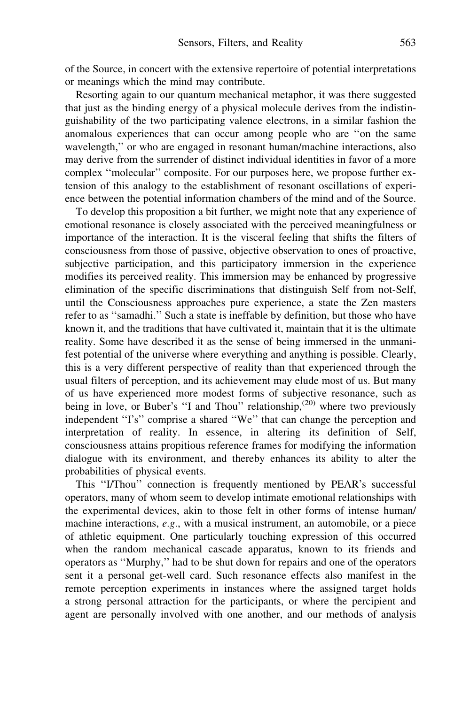of the Source, in concert with the extensive repertoire of potential interpretations or meanings which the mind may contribute.

Resorting again to our quantum mechanical metaphor, it was there suggested that just as the binding energy of a physical molecule derives from the indistinguishability of the two participating valence electrons, in a similar fashion the anomalous experiences that can occur among people who are ''on the same wavelength,'' or who are engaged in resonant human/machine interactions, also may derive from the surrender of distinct individual identities in favor of a more complex ''molecular'' composite. For our purposes here, we propose further extension of this analogy to the establishment of resonant oscillations of experience between the potential information chambers of the mind and of the Source.

To develop this proposition a bit further, we might note that any experience of emotional resonance is closely associated with the perceived meaningfulness or importance of the interaction. It is the visceral feeling that shifts the filters of consciousness from those of passive, objective observation to ones of proactive, subjective participation, and this participatory immersion in the experience modifies its perceived reality. This immersion may be enhanced by progressive elimination of the specific discriminations that distinguish Self from not-Self, until the Consciousness approaches pure experience, a state the Zen masters refer to as ''samadhi.'' Such a state is ineffable by definition, but those who have known it, and the traditions that have cultivated it, maintain that it is the ultimate reality. Some have described it as the sense of being immersed in the unmanifest potential of the universe where everything and anything is possible. Clearly, this is a very different perspective of reality than that experienced through the usual filters of perception, and its achievement may elude most of us. But many of us have experienced more modest forms of subjective resonance, such as being in love, or Buber's "I and Thou" relationship,<sup> $(20)$ </sup> where two previously independent ''I's'' comprise a shared ''We'' that can change the perception and interpretation of reality. In essence, in altering its definition of Self, consciousness attains propitious reference frames for modifying the information dialogue with its environment, and thereby enhances its ability to alter the probabilities of physical events.

This ''I/Thou'' connection is frequently mentioned by PEAR's successful operators, many of whom seem to develop intimate emotional relationships with the experimental devices, akin to those felt in other forms of intense human/ machine interactions, e.g., with a musical instrument, an automobile, or a piece of athletic equipment. One particularly touching expression of this occurred when the random mechanical cascade apparatus, known to its friends and operators as ''Murphy,'' had to be shut down for repairs and one of the operators sent it a personal get-well card. Such resonance effects also manifest in the remote perception experiments in instances where the assigned target holds a strong personal attraction for the participants, or where the percipient and agent are personally involved with one another, and our methods of analysis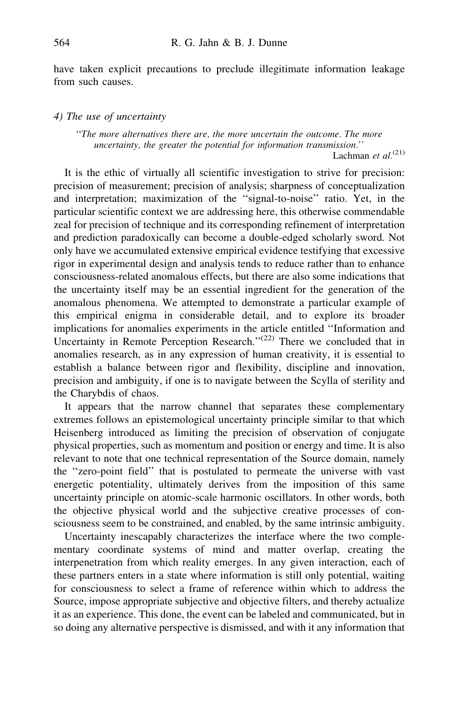have taken explicit precautions to preclude illegitimate information leakage from such causes.

#### 4) The use of uncertainty

''The more alternatives there are, the more uncertain the outcome. The more uncertainty, the greater the potential for information transmission.'' Lachman et  $al^{(21)}$ 

It is the ethic of virtually all scientific investigation to strive for precision: precision of measurement; precision of analysis; sharpness of conceptualization and interpretation; maximization of the ''signal-to-noise'' ratio. Yet, in the particular scientific context we are addressing here, this otherwise commendable zeal for precision of technique and its corresponding refinement of interpretation and prediction paradoxically can become a double-edged scholarly sword. Not only have we accumulated extensive empirical evidence testifying that excessive rigor in experimental design and analysis tends to reduce rather than to enhance consciousness-related anomalous effects, but there are also some indications that the uncertainty itself may be an essential ingredient for the generation of the anomalous phenomena. We attempted to demonstrate a particular example of this empirical enigma in considerable detail, and to explore its broader implications for anomalies experiments in the article entitled ''Information and Uncertainty in Remote Perception Research." $(22)$  There we concluded that in anomalies research, as in any expression of human creativity, it is essential to establish a balance between rigor and flexibility, discipline and innovation, precision and ambiguity, if one is to navigate between the Scylla of sterility and the Charybdis of chaos.

It appears that the narrow channel that separates these complementary extremes follows an epistemological uncertainty principle similar to that which Heisenberg introduced as limiting the precision of observation of conjugate physical properties, such as momentum and position or energy and time. It is also relevant to note that one technical representation of the Source domain, namely the ''zero-point field'' that is postulated to permeate the universe with vast energetic potentiality, ultimately derives from the imposition of this same uncertainty principle on atomic-scale harmonic oscillators. In other words, both the objective physical world and the subjective creative processes of consciousness seem to be constrained, and enabled, by the same intrinsic ambiguity.

Uncertainty inescapably characterizes the interface where the two complementary coordinate systems of mind and matter overlap, creating the interpenetration from which reality emerges. In any given interaction, each of these partners enters in a state where information is still only potential, waiting for consciousness to select a frame of reference within which to address the Source, impose appropriate subjective and objective filters, and thereby actualize it as an experience. This done, the event can be labeled and communicated, but in so doing any alternative perspective is dismissed, and with it any information that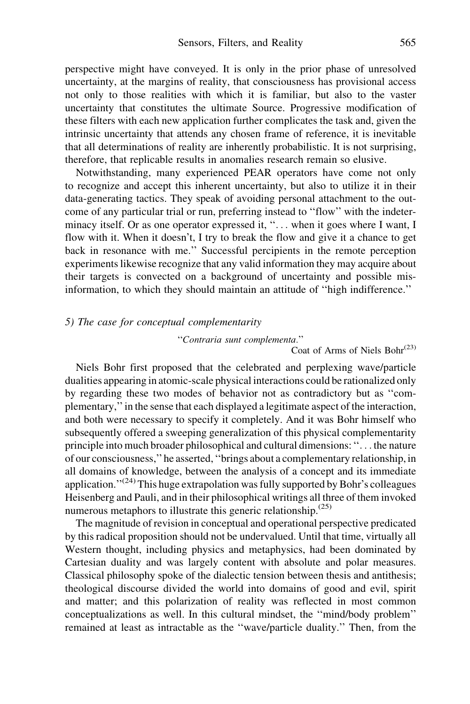perspective might have conveyed. It is only in the prior phase of unresolved uncertainty, at the margins of reality, that consciousness has provisional access not only to those realities with which it is familiar, but also to the vaster uncertainty that constitutes the ultimate Source. Progressive modification of these filters with each new application further complicates the task and, given the intrinsic uncertainty that attends any chosen frame of reference, it is inevitable that all determinations of reality are inherently probabilistic. It is not surprising, therefore, that replicable results in anomalies research remain so elusive.

Notwithstanding, many experienced PEAR operators have come not only to recognize and accept this inherent uncertainty, but also to utilize it in their data-generating tactics. They speak of avoiding personal attachment to the outcome of any particular trial or run, preferring instead to ''flow'' with the indeterminacy itself. Or as one operator expressed it, "... when it goes where I want, I flow with it. When it doesn't, I try to break the flow and give it a chance to get back in resonance with me.'' Successful percipients in the remote perception experiments likewise recognize that any valid information they may acquire about their targets is convected on a background of uncertainty and possible misinformation, to which they should maintain an attitude of ''high indifference.''

## 5) The case for conceptual complementarity

''Contraria sunt complementa.''

Coat of Arms of Niels  $Bohr<sup>(23)</sup>$ 

Niels Bohr first proposed that the celebrated and perplexing wave/particle dualities appearing in atomic-scale physical interactions could be rationalized only by regarding these two modes of behavior not as contradictory but as ''complementary,'' in the sense that each displayed a legitimate aspect of the interaction, and both were necessary to specify it completely. And it was Bohr himself who subsequently offered a sweeping generalization of this physical complementarity principle into much broader philosophical and cultural dimensions: ''... the nature of our consciousness,'' he asserted, ''brings about a complementary relationship, in all domains of knowledge, between the analysis of a concept and its immediate application.<sup> $(24)$ </sup>This huge extrapolation was fully supported by Bohr's colleagues Heisenberg and Pauli, and in their philosophical writings all three of them invoked numerous metaphors to illustrate this generic relationship.<sup>(25)</sup>

The magnitude of revision in conceptual and operational perspective predicated by this radical proposition should not be undervalued. Until that time, virtually all Western thought, including physics and metaphysics, had been dominated by Cartesian duality and was largely content with absolute and polar measures. Classical philosophy spoke of the dialectic tension between thesis and antithesis; theological discourse divided the world into domains of good and evil, spirit and matter; and this polarization of reality was reflected in most common conceptualizations as well. In this cultural mindset, the ''mind/body problem'' remained at least as intractable as the ''wave/particle duality.'' Then, from the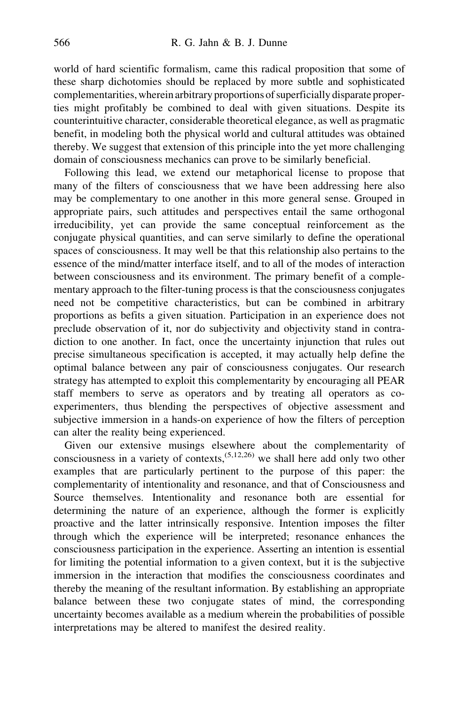world of hard scientific formalism, came this radical proposition that some of these sharp dichotomies should be replaced by more subtle and sophisticated complementarities, wherein arbitrary proportions of superficially disparate properties might profitably be combined to deal with given situations. Despite its counterintuitive character, considerable theoretical elegance, as well as pragmatic benefit, in modeling both the physical world and cultural attitudes was obtained thereby. We suggest that extension of this principle into the yet more challenging domain of consciousness mechanics can prove to be similarly beneficial.

Following this lead, we extend our metaphorical license to propose that many of the filters of consciousness that we have been addressing here also may be complementary to one another in this more general sense. Grouped in appropriate pairs, such attitudes and perspectives entail the same orthogonal irreducibility, yet can provide the same conceptual reinforcement as the conjugate physical quantities, and can serve similarly to define the operational spaces of consciousness. It may well be that this relationship also pertains to the essence of the mind/matter interface itself, and to all of the modes of interaction between consciousness and its environment. The primary benefit of a complementary approach to the filter-tuning process is that the consciousness conjugates need not be competitive characteristics, but can be combined in arbitrary proportions as befits a given situation. Participation in an experience does not preclude observation of it, nor do subjectivity and objectivity stand in contradiction to one another. In fact, once the uncertainty injunction that rules out precise simultaneous specification is accepted, it may actually help define the optimal balance between any pair of consciousness conjugates. Our research strategy has attempted to exploit this complementarity by encouraging all PEAR staff members to serve as operators and by treating all operators as coexperimenters, thus blending the perspectives of objective assessment and subjective immersion in a hands-on experience of how the filters of perception can alter the reality being experienced.

Given our extensive musings elsewhere about the complementarity of consciousness in a variety of contexts,  $(5,12,26)$  we shall here add only two other examples that are particularly pertinent to the purpose of this paper: the complementarity of intentionality and resonance, and that of Consciousness and Source themselves. Intentionality and resonance both are essential for determining the nature of an experience, although the former is explicitly proactive and the latter intrinsically responsive. Intention imposes the filter through which the experience will be interpreted; resonance enhances the consciousness participation in the experience. Asserting an intention is essential for limiting the potential information to a given context, but it is the subjective immersion in the interaction that modifies the consciousness coordinates and thereby the meaning of the resultant information. By establishing an appropriate balance between these two conjugate states of mind, the corresponding uncertainty becomes available as a medium wherein the probabilities of possible interpretations may be altered to manifest the desired reality.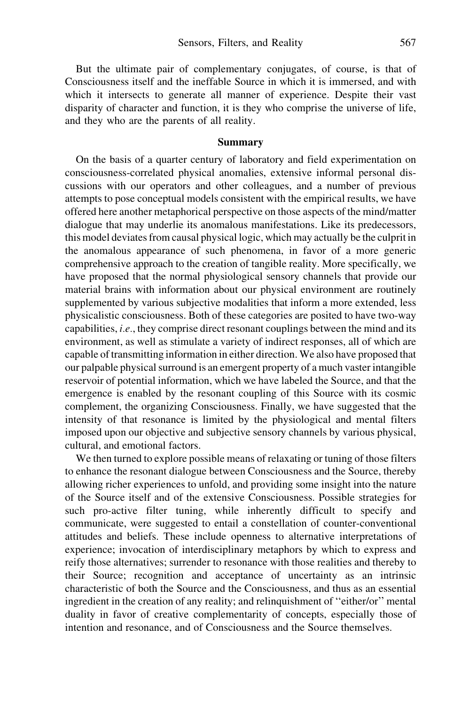But the ultimate pair of complementary conjugates, of course, is that of Consciousness itself and the ineffable Source in which it is immersed, and with which it intersects to generate all manner of experience. Despite their vast disparity of character and function, it is they who comprise the universe of life, and they who are the parents of all reality.

#### Summary

On the basis of a quarter century of laboratory and field experimentation on consciousness-correlated physical anomalies, extensive informal personal discussions with our operators and other colleagues, and a number of previous attempts to pose conceptual models consistent with the empirical results, we have offered here another metaphorical perspective on those aspects of the mind/matter dialogue that may underlie its anomalous manifestations. Like its predecessors, this model deviates from causal physical logic, which may actually be the culprit in the anomalous appearance of such phenomena, in favor of a more generic comprehensive approach to the creation of tangible reality. More specifically, we have proposed that the normal physiological sensory channels that provide our material brains with information about our physical environment are routinely supplemented by various subjective modalities that inform a more extended, less physicalistic consciousness. Both of these categories are posited to have two-way capabilities, i.e., they comprise direct resonant couplings between the mind and its environment, as well as stimulate a variety of indirect responses, all of which are capable of transmitting information in either direction. We also have proposed that our palpable physical surround is an emergent property of a much vaster intangible reservoir of potential information, which we have labeled the Source, and that the emergence is enabled by the resonant coupling of this Source with its cosmic complement, the organizing Consciousness. Finally, we have suggested that the intensity of that resonance is limited by the physiological and mental filters imposed upon our objective and subjective sensory channels by various physical, cultural, and emotional factors.

We then turned to explore possible means of relaxating or tuning of those filters to enhance the resonant dialogue between Consciousness and the Source, thereby allowing richer experiences to unfold, and providing some insight into the nature of the Source itself and of the extensive Consciousness. Possible strategies for such pro-active filter tuning, while inherently difficult to specify and communicate, were suggested to entail a constellation of counter-conventional attitudes and beliefs. These include openness to alternative interpretations of experience; invocation of interdisciplinary metaphors by which to express and reify those alternatives; surrender to resonance with those realities and thereby to their Source; recognition and acceptance of uncertainty as an intrinsic characteristic of both the Source and the Consciousness, and thus as an essential ingredient in the creation of any reality; and relinquishment of ''either/or'' mental duality in favor of creative complementarity of concepts, especially those of intention and resonance, and of Consciousness and the Source themselves.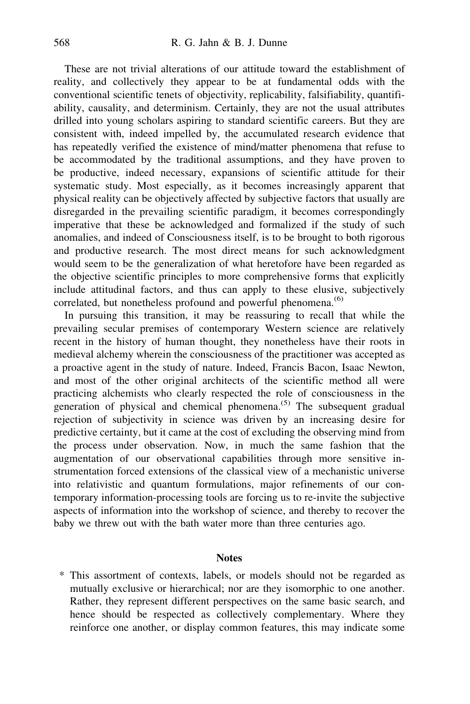These are not trivial alterations of our attitude toward the establishment of reality, and collectively they appear to be at fundamental odds with the conventional scientific tenets of objectivity, replicability, falsifiability, quantifiability, causality, and determinism. Certainly, they are not the usual attributes drilled into young scholars aspiring to standard scientific careers. But they are consistent with, indeed impelled by, the accumulated research evidence that has repeatedly verified the existence of mind/matter phenomena that refuse to be accommodated by the traditional assumptions, and they have proven to be productive, indeed necessary, expansions of scientific attitude for their systematic study. Most especially, as it becomes increasingly apparent that physical reality can be objectively affected by subjective factors that usually are disregarded in the prevailing scientific paradigm, it becomes correspondingly imperative that these be acknowledged and formalized if the study of such anomalies, and indeed of Consciousness itself, is to be brought to both rigorous and productive research. The most direct means for such acknowledgment would seem to be the generalization of what heretofore have been regarded as the objective scientific principles to more comprehensive forms that explicitly include attitudinal factors, and thus can apply to these elusive, subjectively correlated, but nonetheless profound and powerful phenomena.<sup>(6)</sup>

In pursuing this transition, it may be reassuring to recall that while the prevailing secular premises of contemporary Western science are relatively recent in the history of human thought, they nonetheless have their roots in medieval alchemy wherein the consciousness of the practitioner was accepted as a proactive agent in the study of nature. Indeed, Francis Bacon, Isaac Newton, and most of the other original architects of the scientific method all were practicing alchemists who clearly respected the role of consciousness in the generation of physical and chemical phenomena.(5) The subsequent gradual rejection of subjectivity in science was driven by an increasing desire for predictive certainty, but it came at the cost of excluding the observing mind from the process under observation. Now, in much the same fashion that the augmentation of our observational capabilities through more sensitive instrumentation forced extensions of the classical view of a mechanistic universe into relativistic and quantum formulations, major refinements of our contemporary information-processing tools are forcing us to re-invite the subjective aspects of information into the workshop of science, and thereby to recover the baby we threw out with the bath water more than three centuries ago.

### **Notes**

\* This assortment of contexts, labels, or models should not be regarded as mutually exclusive or hierarchical; nor are they isomorphic to one another. Rather, they represent different perspectives on the same basic search, and hence should be respected as collectively complementary. Where they reinforce one another, or display common features, this may indicate some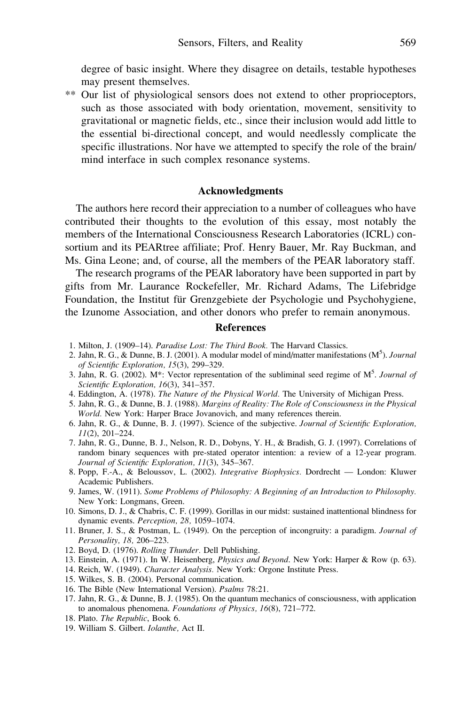degree of basic insight. Where they disagree on details, testable hypotheses may present themselves.

\*\* Our list of physiological sensors does not extend to other proprioceptors, such as those associated with body orientation, movement, sensitivity to gravitational or magnetic fields, etc., since their inclusion would add little to the essential bi-directional concept, and would needlessly complicate the specific illustrations. Nor have we attempted to specify the role of the brain/ mind interface in such complex resonance systems.

### Acknowledgments

The authors here record their appreciation to a number of colleagues who have contributed their thoughts to the evolution of this essay, most notably the members of the International Consciousness Research Laboratories (ICRL) consortium and its PEARtree affiliate; Prof. Henry Bauer, Mr. Ray Buckman, and Ms. Gina Leone; and, of course, all the members of the PEAR laboratory staff.

The research programs of the PEAR laboratory have been supported in part by gifts from Mr. Laurance Rockefeller, Mr. Richard Adams, The Lifebridge Foundation, the Institut für Grenzgebiete der Psychologie und Psychohygiene, the Izunome Association, and other donors who prefer to remain anonymous.

## References

- 1. Milton, J. (1909–14). Paradise Lost: The Third Book. The Harvard Classics.
- 2. Jahn, R. G., & Dunne, B. J. (2001). A modular model of mind/matter manifestations  $(M^5)$ . Journal of Scientific Exploration, 15(3), 299–329.
- 3. Jahn, R. G. (2002). M<sup>\*</sup>: Vector representation of the subliminal seed regime of M<sup>5</sup>. Journal of Scientific Exploration, 16(3), 341–357.
- 4. Eddington, A. (1978). The Nature of the Physical World. The University of Michigan Press.
- 5. Jahn, R. G., & Dunne, B. J. (1988). Margins of Reality: The Role of Consciousness in the Physical World. New York: Harper Brace Jovanovich, and many references therein.
- 6. Jahn, R. G., & Dunne, B. J. (1997). Science of the subjective. Journal of Scientific Exploration, 11(2), 201–224.
- 7. Jahn, R. G., Dunne, B. J., Nelson, R. D., Dobyns, Y. H., & Bradish, G. J. (1997). Correlations of random binary sequences with pre-stated operator intention: a review of a 12-year program. Journal of Scientific Exploration, 11(3), 345–367.
- 8. Popp, F.-A., & Beloussov, L. (2002). Integrative Biophysics. Dordrecht London: Kluwer Academic Publishers.
- 9. James, W. (1911). Some Problems of Philosophy: A Beginning of an Introduction to Philosophy. New York: Longmans, Green.
- 10. Simons, D. J., & Chabris, C. F. (1999). Gorillas in our midst: sustained inattentional blindness for dynamic events. Perception, 28, 1059–1074.
- 11. Bruner, J. S., & Postman, L. (1949). On the perception of incongruity: a paradigm. Journal of Personality, 18, 206–223.
- 12. Boyd, D. (1976). Rolling Thunder. Dell Publishing.
- 13. Einstein, A. (1971). In W. Heisenberg, Physics and Beyond. New York: Harper & Row (p. 63).
- 14. Reich, W. (1949). Character Analysis. New York: Orgone Institute Press.
- 15. Wilkes, S. B. (2004). Personal communication.
- 16. The Bible (New International Version). Psalms 78:21.
- 17. Jahn, R. G., & Dunne, B. J. (1985). On the quantum mechanics of consciousness, with application to anomalous phenomena. Foundations of Physics, 16(8), 721–772.
- 18. Plato. The Republic, Book 6.
- 19. William S. Gilbert. Iolanthe, Act II.